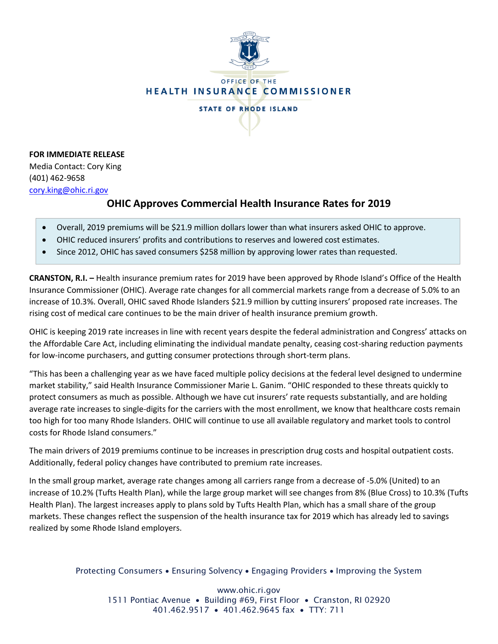

**FOR IMMEDIATE RELEASE** Media Contact: Cory King (401) 462-9658 [cory.king@ohic.ri.gov](mailto:cory.king@ohic.ri.gov)

# **OHIC Approves Commercial Health Insurance Rates for 2019**

- Overall, 2019 premiums will be \$21.9 million dollars lower than what insurers asked OHIC to approve.
- OHIC reduced insurers' profits and contributions to reserves and lowered cost estimates.
- Since 2012, OHIC has saved consumers \$258 million by approving lower rates than requested.

**CRANSTON, R.I. –** Health insurance premium rates for 2019 have been approved by Rhode Island's Office of the Health Insurance Commissioner (OHIC). Average rate changes for all commercial markets range from a decrease of 5.0% to an increase of 10.3%. Overall, OHIC saved Rhode Islanders \$21.9 million by cutting insurers' proposed rate increases. The rising cost of medical care continues to be the main driver of health insurance premium growth.

OHIC is keeping 2019 rate increases in line with recent years despite the federal administration and Congress' attacks on the Affordable Care Act, including eliminating the individual mandate penalty, ceasing cost-sharing reduction payments for low-income purchasers, and gutting consumer protections through short-term plans.

"This has been a challenging year as we have faced multiple policy decisions at the federal level designed to undermine market stability," said Health Insurance Commissioner Marie L. Ganim. "OHIC responded to these threats quickly to protect consumers as much as possible. Although we have cut insurers' rate requests substantially, and are holding average rate increases to single-digits for the carriers with the most enrollment, we know that healthcare costs remain too high for too many Rhode Islanders. OHIC will continue to use all available regulatory and market tools to control costs for Rhode Island consumers."

The main drivers of 2019 premiums continue to be increases in prescription drug costs and hospital outpatient costs. Additionally, federal policy changes have contributed to premium rate increases.

In the small group market, average rate changes among all carriers range from a decrease of -5.0% (United) to an increase of 10.2% (Tufts Health Plan), while the large group market will see changes from 8% (Blue Cross) to 10.3% (Tufts Health Plan). The largest increases apply to plans sold by Tufts Health Plan, which has a small share of the group markets. These changes reflect the suspension of the health insurance tax for 2019 which has already led to savings realized by some Rhode Island employers.

#### Protecting Consumers • Ensuring Solvency • Engaging Providers • Improving the System

www.ohic.ri.gov 1511 Pontiac Avenue • Building #69, First Floor • Cranston, RI 02920 401.462.9517 • 401.462.9645 fax • TTY: 711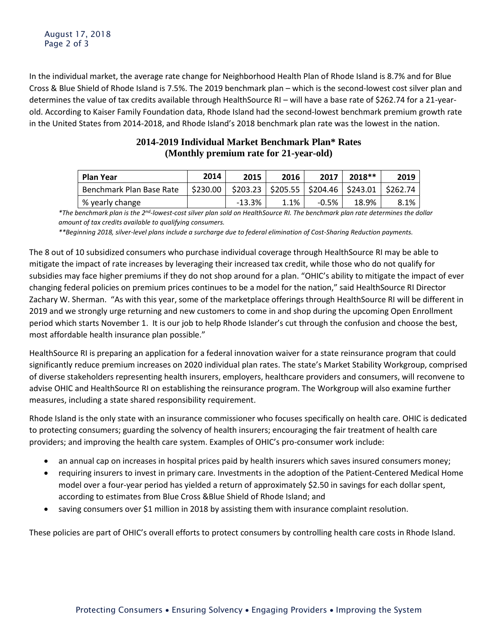In the individual market, the average rate change for Neighborhood Health Plan of Rhode Island is 8.7% and for Blue Cross & Blue Shield of Rhode Island is 7.5%. The 2019 benchmark plan – which is the second-lowest cost silver plan and determines the value of tax credits available through HealthSource RI – will have a base rate of \$262.74 for a 21-yearold. According to Kaiser Family Foundation data, Rhode Island had the second-lowest benchmark premium growth rate in the United States from 2014-2018, and Rhode Island's 2018 benchmark plan rate was the lowest in the nation.

| <b>Plan Year</b>         | 2014 | 2015                                                                                                  | 2016 | 2017     | $2018**$ | 2019 |
|--------------------------|------|-------------------------------------------------------------------------------------------------------|------|----------|----------|------|
| Benchmark Plan Base Rate |      | $\vert$ \$230.00 $\vert$ \$203.23 $\vert$ \$205.55 $\vert$ \$204.46 $\vert$ \$243.01 $\vert$ \$262.74 |      |          |          |      |
| % yearly change          |      | $-13.3%$                                                                                              | 1.1% | $-0.5\%$ | 18.9%    | 8.1% |

# **2014-2019 Individual Market Benchmark Plan\* Rates (Monthly premium rate for 21-year-old)**

*\*The benchmark plan is the 2nd-lowest-cost silver plan sold on HealthSource RI. The benchmark plan rate determines the dollar amount of tax credits available to qualifying consumers.* 

*\*\*Beginning 2018, silver-level plans include a surcharge due to federal elimination of Cost-Sharing Reduction payments.*

The 8 out of 10 subsidized consumers who purchase individual coverage through HealthSource RI may be able to mitigate the impact of rate increases by leveraging their increased tax credit, while those who do not qualify for subsidies may face higher premiums if they do not shop around for a plan. "OHIC's ability to mitigate the impact of ever changing federal policies on premium prices continues to be a model for the nation," said HealthSource RI Director Zachary W. Sherman. "As with this year, some of the marketplace offerings through HealthSource RI will be different in 2019 and we strongly urge returning and new customers to come in and shop during the upcoming Open Enrollment period which starts November 1. It is our job to help Rhode Islander's cut through the confusion and choose the best, most affordable health insurance plan possible."

HealthSource RI is preparing an application for a federal innovation waiver for a state reinsurance program that could significantly reduce premium increases on 2020 individual plan rates. The state's Market Stability Workgroup, comprised of diverse stakeholders representing health insurers, employers, healthcare providers and consumers, will reconvene to advise OHIC and HealthSource RI on establishing the reinsurance program. The Workgroup will also examine further measures, including a state shared responsibility requirement.

Rhode Island is the only state with an insurance commissioner who focuses specifically on health care. OHIC is dedicated to protecting consumers; guarding the solvency of health insurers; encouraging the fair treatment of health care providers; and improving the health care system. Examples of OHIC's pro-consumer work include:

- an annual cap on increases in hospital prices paid by health insurers which saves insured consumers money;
- requiring insurers to invest in primary care. Investments in the adoption of the Patient-Centered Medical Home model over a four-year period has yielded a return of approximately \$2.50 in savings for each dollar spent, according to estimates from Blue Cross &Blue Shield of Rhode Island; and
- saving consumers over \$1 million in 2018 by assisting them with insurance complaint resolution.

These policies are part of OHIC's overall efforts to protect consumers by controlling health care costs in Rhode Island.